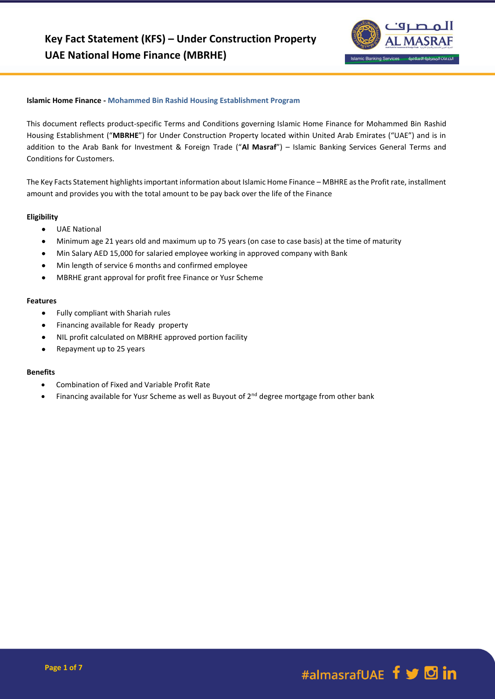

#### **Islamic Home Finance - Mohammed Bin Rashid Housing Establishment Program**

This document reflects product-specific Terms and Conditions governing Islamic Home Finance for Mohammed Bin Rashid Housing Establishment ("**MBRHE**") for Under Construction Property located within United Arab Emirates ("UAE") and is in addition to the Arab Bank for Investment & Foreign Trade ("**Al Masraf**") – Islamic Banking Services General Terms and Conditions for Customers.

The Key Facts Statement highlights important information about Islamic Home Finance – MBHRE as the Profit rate, installment amount and provides you with the total amount to be pay back over the life of the Finance

#### **Eligibility**

- UAE National
- Minimum age 21 years old and maximum up to 75 years (on case to case basis) at the time of maturity
- Min Salary AED 15,000 for salaried employee working in approved company with Bank
- Min length of service 6 months and confirmed employee
- MBRHE grant approval for profit free Finance or Yusr Scheme

#### **Features**

- Fully compliant with Shariah rules
- **•** Financing available for Ready property
- NIL profit calculated on MBRHE approved portion facility
- Repayment up to 25 years

#### **Benefits**

- Combination of Fixed and Variable Profit Rate
- Financing available for Yusr Scheme as well as Buyout of 2<sup>nd</sup> degree mortgage from other bank

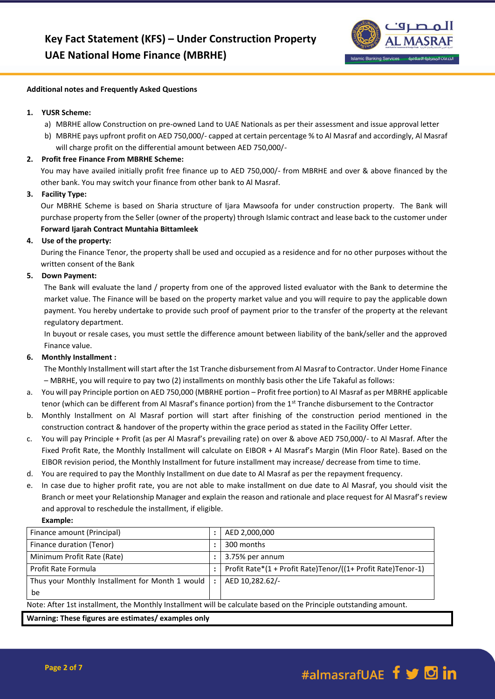

#### **Additional notes and Frequently Asked Questions**

## **1. YUSR Scheme:**

- a) MBRHE allow Construction on pre-owned Land to UAE Nationals as per their assessment and issue approval letter
- b) MBRHE pays upfront profit on AED 750,000/- capped at certain percentage % to Al Masraf and accordingly, Al Masraf will charge profit on the differential amount between AED 750,000/-

# **2. Profit free Finance From MBRHE Scheme:**

You may have availed initially profit free finance up to AED 750,000/- from MBRHE and over & above financed by the other bank. You may switch your finance from other bank to Al Masraf.

# **3. Facility Type:**

Our MBRHE Scheme is based on Sharia structure of Ijara Mawsoofa for under construction property. The Bank will purchase property from the Seller (owner of the property) through Islamic contract and lease back to the customer under **Forward Ijarah Contract Muntahia Bittamleek**

# **4. Use of the property:**

During the Finance Tenor, the property shall be used and occupied as a residence and for no other purposes without the written consent of the Bank

# **5. Down Payment:**

The Bank will evaluate the land / property from one of the approved listed evaluator with the Bank to determine the market value. The Finance will be based on the property market value and you will require to pay the applicable down payment. You hereby undertake to provide such proof of payment prior to the transfer of the property at the relevant regulatory department.

In buyout or resale cases, you must settle the difference amount between liability of the bank/seller and the approved Finance value.

## **6. Monthly Installment :**

The Monthly Installment will start after the 1st Tranche disbursement from Al Masraf to Contractor. Under Home Finance – MBRHE, you will require to pay two (2) installments on monthly basis other the Life Takaful as follows:

- a. You will pay Principle portion on AED 750,000 (MBRHE portion Profit free portion) to Al Masraf as per MBRHE applicable tenor (which can be different from Al Masraf's finance portion) from the 1st Tranche disbursement to the Contractor
- b. Monthly Installment on Al Masraf portion will start after finishing of the construction period mentioned in the construction contract & handover of the property within the grace period as stated in the Facility Offer Letter.
- c. You will pay Principle + Profit (as per Al Masraf's prevailing rate) on over & above AED 750,000/- to Al Masraf. After the Fixed Profit Rate, the Monthly Installment will calculate on EIBOR + Al Masraf's Margin (Min Floor Rate). Based on the EIBOR revision period, the Monthly Installment for future installment may increase/ decrease from time to time.
- d. You are required to pay the Monthly Installment on due date to Al Masraf as per the repayment frequency.
- e. In case due to higher profit rate, you are not able to make installment on due date to Al Masraf, you should visit the Branch or meet your Relationship Manager and explain the reason and rationale and place request for Al Masraf's review and approval to reschedule the installment, if eligible.

## **Example:**

| Finance amount (Principal)                                                                                        | ٠       | AED 2,000,000                                                |  |
|-------------------------------------------------------------------------------------------------------------------|---------|--------------------------------------------------------------|--|
| Finance duration (Tenor)                                                                                          |         | 300 months                                                   |  |
| Minimum Profit Rate (Rate)                                                                                        |         | 3.75% per annum                                              |  |
| Profit Rate Formula                                                                                               |         | Profit Rate*(1 + Profit Rate)Tenor/((1+ Profit Rate)Tenor-1) |  |
| Thus your Monthly Installment for Month 1 would                                                                   | $\cdot$ | AED 10,282.62/-                                              |  |
| be                                                                                                                |         |                                                              |  |
| Note: After 1st installment, the Monthly Installment will be calculate based on the Principle outstanding amount. |         |                                                              |  |
| Washington Those Course are estimated augmented and                                                               |         |                                                              |  |

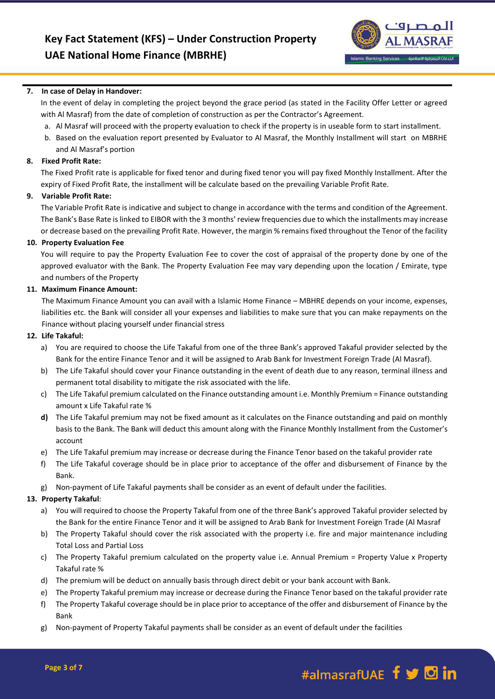

## **7. In case of Delay in Handover:**

In the event of delay in completing the project beyond the grace period (as stated in the Facility Offer Letter or agreed with Al Masraf) from the date of completion of construction as per the Contractor's Agreement.

- a. Al Masraf will proceed with the property evaluation to check if the property is in useable form to start installment.
- b. Based on the evaluation report presented by Evaluator to Al Masraf, the Monthly Installment will start on MBRHE and Al Masraf's portion

#### **8. Fixed Profit Rate:**

The Fixed Profit rate is applicable for fixed tenor and during fixed tenor you will pay fixed Monthly Installment. After the expiry of Fixed Profit Rate, the installment will be calculate based on the prevailing Variable Profit Rate.

### **9. Variable Profit Rate:**

The Variable Profit Rate is indicative and subject to change in accordance with the terms and condition of the Agreement. The Bank's Base Rate is linked to EIBOR with the 3 months' review frequencies due to which the installments may increase or decrease based on the prevailing Profit Rate. However, the margin % remains fixed throughout the Tenor of the facility

#### **10. Property Evaluation Fee**

You will require to pay the Property Evaluation Fee to cover the cost of appraisal of the property done by one of the approved evaluator with the Bank. The Property Evaluation Fee may vary depending upon the location / Emirate, type and numbers of the Property

#### **11. Maximum Finance Amount:**

The Maximum Finance Amount you can avail with a Islamic Home Finance – MBHRE depends on your income, expenses, liabilities etc. the Bank will consider all your expenses and liabilities to make sure that you can make repayments on the Finance without placing yourself under financial stress

#### **12. Life Takaful:**

- a) You are required to choose the Life Takaful from one of the three Bank's approved Takaful provider selected by the Bank for the entire Finance Tenor and it will be assigned to Arab Bank for Investment Foreign Trade (Al Masraf).
- b) The Life Takaful should cover your Finance outstanding in the event of death due to any reason, terminal illness and permanent total disability to mitigate the risk associated with the life.
- c) The Life Takaful premium calculated on the Finance outstanding amount i.e. Monthly Premium = Finance outstanding amount x Life Takaful rate %
- **d)** The Life Takaful premium may not be fixed amount as it calculates on the Finance outstanding and paid on monthly basis to the Bank. The Bank will deduct this amount along with the Finance Monthly Installment from the Customer's account
- e) The Life Takaful premium may increase or decrease during the Finance Tenor based on the takaful provider rate
- f) The Life Takaful coverage should be in place prior to acceptance of the offer and disbursement of Finance by the Bank.
- g) Non-payment of Life Takaful payments shall be consider as an event of default under the facilities.

#### **13. Property Takaful**:

- a) You will required to choose the Property Takaful from one of the three Bank's approved Takaful provider selected by the Bank for the entire Finance Tenor and it will be assigned to Arab Bank for Investment Foreign Trade (Al Masraf
- b) The Property Takaful should cover the risk associated with the property i.e. fire and major maintenance including Total Loss and Partial Loss
- c) The Property Takaful premium calculated on the property value i.e. Annual Premium = Property Value x Property Takaful rate %
- d) The premium will be deduct on annually basis through direct debit or your bank account with Bank.
- e) The Property Takaful premium may increase or decrease during the Finance Tenor based on the takaful provider rate
- f) The Property Takaful coverage should be in place prior to acceptance of the offer and disbursement of Finance by the Bank
- g) Non-payment of Property Takaful payments shall be consider as an event of default under the facilities

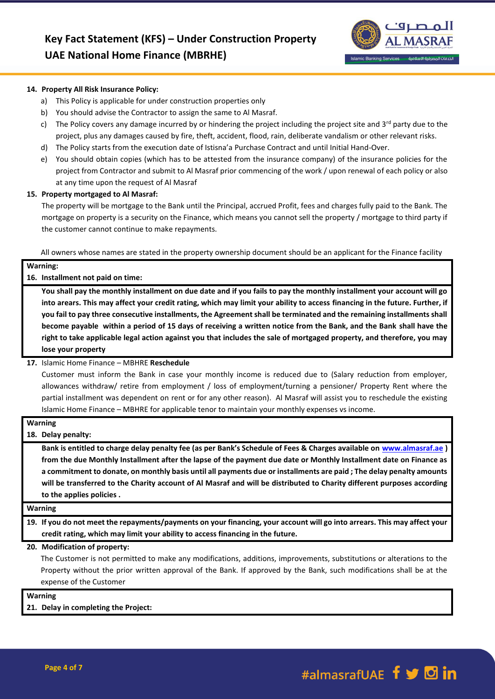

#### **14. Property All Risk Insurance Policy:**

- a) This Policy is applicable for under construction properties only
- b) You should advise the Contractor to assign the same to Al Masraf.
- c) The Policy covers any damage incurred by or hindering the project including the project site and  $3^{rd}$  party due to the project, plus any damages caused by fire, theft, accident, flood, rain, deliberate vandalism or other relevant risks.
- d) The Policy starts from the execution date of Istisna'a Purchase Contract and until Initial Hand-Over.
- e) You should obtain copies (which has to be attested from the insurance company) of the insurance policies for the project from Contractor and submit to Al Masraf prior commencing of the work / upon renewal of each policy or also at any time upon the request of Al Masraf

## **15. Property mortgaged to Al Masraf:**

The property will be mortgage to the Bank until the Principal, accrued Profit, fees and charges fully paid to the Bank. The mortgage on property is a security on the Finance, which means you cannot sell the property / mortgage to third party if the customer cannot continue to make repayments.

All owners whose names are stated in the property ownership document should be an applicant for the Finance facility

| Warning:                                                                                                                                                                                                                                               |
|--------------------------------------------------------------------------------------------------------------------------------------------------------------------------------------------------------------------------------------------------------|
| 16. Installment not paid on time:                                                                                                                                                                                                                      |
| You shall pay the monthly installment on due date and if you fails to pay the monthly installment your account will go                                                                                                                                 |
| into arears. This may affect your credit rating, which may limit your ability to access financing in the future. Further, if<br>you fail to pay three consecutive installments, the Agreement shall be terminated and the remaining installments shall |
| become payable within a period of 15 days of receiving a written notice from the Bank, and the Bank shall have the<br>right to take applicable legal action against you that includes the sale of mortgaged property, and therefore, you may           |
| lose your property                                                                                                                                                                                                                                     |
| 17 Islamic Home Finance - MRHRE Reschedule                                                                                                                                                                                                             |

#### **17.** Islamic Home Finance – MBHRE **Reschedule**

Customer must inform the Bank in case your monthly income is reduced due to (Salary reduction from employer, allowances withdraw/ retire from employment / loss of employment/turning a pensioner/ Property Rent where the partial installment was dependent on rent or for any other reason). Al Masraf will assist you to reschedule the existing Islamic Home Finance – MBHRE for applicable tenor to maintain your monthly expenses vs income.

# **Warning**

## **18. Delay penalty:**

**Bank is entitled to charge delay penalty fee (as per Bank's Schedule of Fees & Charges available on [www.almasraf.ae](http://www.almasraf.ae/) ) from the due Monthly Installment after the lapse of the payment due date or Monthly Installment date on Finance as a commitment to donate, on monthly basis until all payments due or installments are paid ; The delay penalty amounts will be transferred to the Charity account of Al Masraf and will be distributed to Charity different purposes according to the applies policies .**

# **Warning**

**19. If you do not meet the repayments/payments on your financing, your account will go into arrears. This may affect your credit rating, which may limit your ability to access financing in the future.**

#### **20. Modification of property:**

The Customer is not permitted to make any modifications, additions, improvements, substitutions or alterations to the Property without the prior written approval of the Bank. If approved by the Bank, such modifications shall be at the expense of the Customer

**Warning**

**21. Delay in completing the Project:**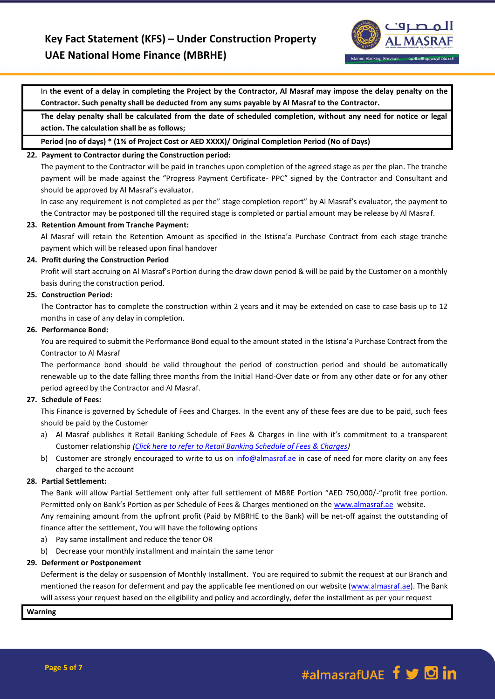

In **the event of a delay in completing the Project by the Contractor, Al Masraf may impose the delay penalty on the Contractor. Such penalty shall be deducted from any sums payable by Al Masraf to the Contractor.**

**The delay penalty shall be calculated from the date of scheduled completion, without any need for notice or legal action. The calculation shall be as follows;**

**Period (no of days) \* (1% of Project Cost or AED XXXX)/ Original Completion Period (No of Days)**

### **22. Payment to Contractor during the Construction period:**

The payment to the Contractor will be paid in tranches upon completion of the agreed stage as per the plan. The tranche payment will be made against the "Progress Payment Certificate- PPC" signed by the Contractor and Consultant and should be approved by Al Masraf's evaluator.

In case any requirement is not completed as per the" stage completion report" by Al Masraf's evaluator, the payment to the Contractor may be postponed till the required stage is completed or partial amount may be release by Al Masraf.

#### **23. Retention Amount from Tranche Payment:**

Al Masraf will retain the Retention Amount as specified in the Istisna'a Purchase Contract from each stage tranche payment which will be released upon final handover

#### **24. Profit during the Construction Period**

Profit will start accruing on Al Masraf's Portion during the draw down period & will be paid by the Customer on a monthly basis during the construction period.

### **25. Construction Period:**

The Contractor has to complete the construction within 2 years and it may be extended on case to case basis up to 12 months in case of any delay in completion.

#### **26. Performance Bond:**

You are required to submit the Performance Bond equal to the amount stated in the Istisna'a Purchase Contract from the Contractor to Al Masraf

The performance bond should be valid throughout the period of construction period and should be automatically renewable up to the date falling three months from the Initial Hand-Over date or from any other date or for any other period agreed by the Contractor and Al Masraf.

## **27. Schedule of Fees:**

This Finance is governed by Schedule of Fees and Charges. In the event any of these fees are due to be paid, such fees should be paid by the Customer

- a) Al Masraf publishes it Retail Banking Schedule of Fees & Charges in line with it's commitment to a transparent Customer relationship *[\(Click here to refer to Retail Banking Schedule of Fees & Charges\)](https://almasraf.ae/schedule-of-charges/)*
- b) Customer are strongly encouraged to write to us on [info@almasraf.ae](mailto:info@almasraf.ae) in case of need for more clarity on any fees charged to the account

## **28. Partial Settlement:**

The Bank will allow Partial Settlement only after full settlement of MBRE Portion "AED 750,000/-"profit free portion. Permitted only on Bank's Portion as per Schedule of Fees & Charges mentioned on the [www.almasraf.ae](http://www.almasraf.ae/) website. Any remaining amount from the upfront profit (Paid by MBRHE to the Bank) will be net-off against the outstanding of finance after the settlement, You will have the following options

- a) Pay same installment and reduce the tenor OR
- b) Decrease your monthly installment and maintain the same tenor

## **29. Deferment or Postponement**

Deferment is the delay or suspension of Monthly Installment. You are required to submit the request at our Branch and mentioned the reason for deferment and pay the applicable fee mentioned on our website [\(www.almasraf.ae\)](http://www.almasraf.ae/). The Bank will assess your request based on the eligibility and policy and accordingly, defer the installment as per your request

**Warning**

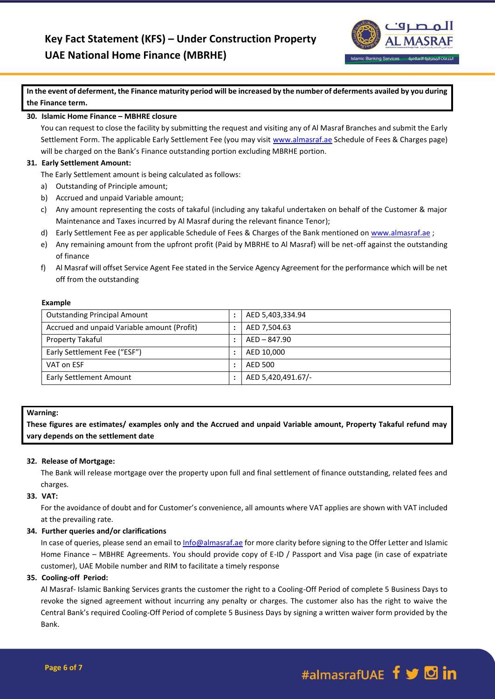

**In the event of deferment, the Finance maturity period will be increased by the number of deferments availed by you during the Finance term.**

## **30. Islamic Home Finance – MBHRE closure**

You can request to close the facility by submitting the request and visiting any of Al Masraf Branches and submit the Early Settlement Form. The applicable Early Settlement Fee (you may visi[t www.almasraf.ae](http://www.almasraf.ae/) Schedule of Fees & Charges page) will be charged on the Bank's Finance outstanding portion excluding MBRHE portion.

# **31. Early Settlement Amount:**

The Early Settlement amount is being calculated as follows:

- a) Outstanding of Principle amount;
- b) Accrued and unpaid Variable amount;
- c) Any amount representing the costs of takaful (including any takaful undertaken on behalf of the Customer & major Maintenance and Taxes incurred by Al Masraf during the relevant finance Tenor);
- d) Early Settlement Fee as per applicable Schedule of Fees & Charges of the Bank mentioned on [www.almasraf.ae](http://www.almasraf.ae/) ;
- e) Any remaining amount from the upfront profit (Paid by MBRHE to Al Masraf) will be net-off against the outstanding of finance
- f) Al Masraf will offset Service Agent Fee stated in the Service Agency Agreement for the performance which will be net off from the outstanding

## **Example**

| <b>Outstanding Principal Amount</b>         | AED 5,403,334.94   |
|---------------------------------------------|--------------------|
| Accrued and unpaid Variable amount (Profit) | AED 7,504.63       |
| Property Takaful                            | AED-847.90         |
| Early Settlement Fee ("ESF")                | AED 10,000         |
| VAT on ESF                                  | AED 500            |
| <b>Early Settlement Amount</b>              | AED 5,420,491.67/- |

## **Warning:**

**These figures are estimates/ examples only and the Accrued and unpaid Variable amount, Property Takaful refund may vary depends on the settlement date**

## **32. Release of Mortgage:**

The Bank will release mortgage over the property upon full and final settlement of finance outstanding, related fees and charges.

## **33. VAT:**

For the avoidance of doubt and for Customer's convenience, all amounts where VAT applies are shown with VAT included at the prevailing rate.

## **34. Further queries and/or clarifications**

In case of queries, please send an email t[o Info@almasraf.ae](mailto:Query@almasraf.ae) for more clarity before signing to the Offer Letter and Islamic Home Finance – MBHRE Agreements. You should provide copy of E-ID / Passport and Visa page (in case of expatriate customer), UAE Mobile number and RIM to facilitate a timely response

## **35. Cooling-off Period:**

Al Masraf- Islamic Banking Services grants the customer the right to a Cooling-Off Period of complete 5 Business Days to revoke the signed agreement without incurring any penalty or charges. The customer also has the right to waive the Central Bank's required Cooling-Off Period of complete 5 Business Days by signing a written waiver form provided by the Bank.